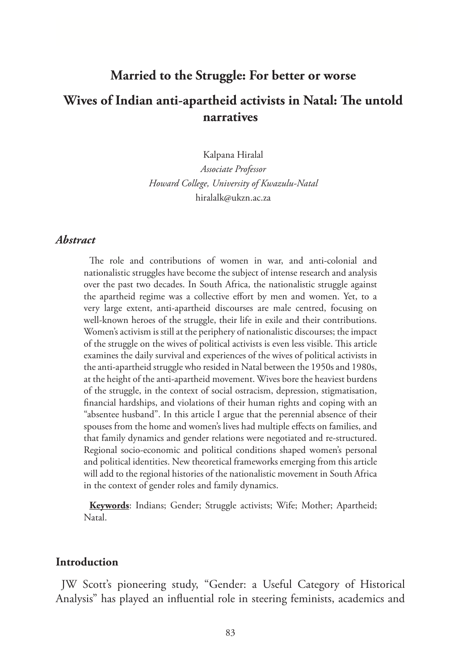# **Married to the Struggle: For better or worse Wives of Indian anti-apartheid activists in Natal: The untold narratives**

Kalpana Hiralal

*Associate Professor Howard College, University of Kwazulu-Natal* hiralalk@ukzn.ac.za

## *Abstract*

The role and contributions of women in war, and anti-colonial and nationalistic struggles have become the subject of intense research and analysis over the past two decades. In South Africa, the nationalistic struggle against the apartheid regime was a collective effort by men and women. Yet, to a very large extent, anti-apartheid discourses are male centred, focusing on well-known heroes of the struggle, their life in exile and their contributions. Women's activism is still at the periphery of nationalistic discourses; the impact of the struggle on the wives of political activists is even less visible. This article examines the daily survival and experiences of the wives of political activists in the anti-apartheid struggle who resided in Natal between the 1950s and 1980s, at the height of the anti-apartheid movement. Wives bore the heaviest burdens of the struggle, in the context of social ostracism, depression, stigmatisation, financial hardships, and violations of their human rights and coping with an "absentee husband". In this article I argue that the perennial absence of their spouses from the home and women's lives had multiple effects on families, and that family dynamics and gender relations were negotiated and re-structured. Regional socio-economic and political conditions shaped women's personal and political identities. New theoretical frameworks emerging from this article will add to the regional histories of the nationalistic movement in South Africa in the context of gender roles and family dynamics.

**Keywords**: Indians; Gender; Struggle activists; Wife; Mother; Apartheid; Natal.

#### **Introduction**

JW Scott's pioneering study, "Gender: a Useful Category of Historical Analysis" has played an influential role in steering feminists, academics and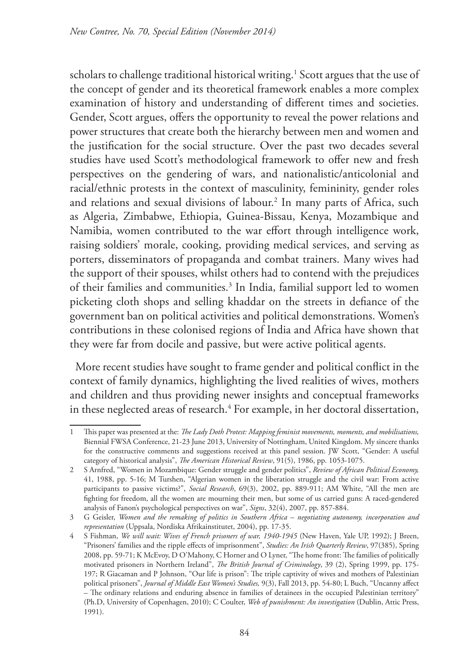scholars to challenge traditional historical writing.1 Scott argues that the use of the concept of gender and its theoretical framework enables a more complex examination of history and understanding of different times and societies. Gender, Scott argues, offers the opportunity to reveal the power relations and power structures that create both the hierarchy between men and women and the justification for the social structure. Over the past two decades several studies have used Scott's methodological framework to offer new and fresh perspectives on the gendering of wars, and nationalistic/anticolonial and racial/ethnic protests in the context of masculinity, femininity, gender roles and relations and sexual divisions of labour.2 In many parts of Africa, such as Algeria, Zimbabwe, Ethiopia, Guinea-Bissau, Kenya, Mozambique and Namibia, women contributed to the war effort through intelligence work, raising soldiers' morale, cooking, providing medical services, and serving as porters, disseminators of propaganda and combat trainers. Many wives had the support of their spouses, whilst others had to contend with the prejudices of their families and communities.<sup>3</sup> In India, familial support led to women picketing cloth shops and selling khaddar on the streets in defiance of the government ban on political activities and political demonstrations. Women's contributions in these colonised regions of India and Africa have shown that they were far from docile and passive, but were active political agents.

More recent studies have sought to frame gender and political conflict in the context of family dynamics, highlighting the lived realities of wives, mothers and children and thus providing newer insights and conceptual frameworks in these neglected areas of research.4 For example, in her doctoral dissertation,

<sup>1</sup> This paper was presented at the: *The Lady Doth Protest: Mapping feminist movements, moments, and mobilisations,*  Biennial FWSA Conference, 21-23 June 2013, University of Nottingham, United Kingdom. My sincere thanks for the constructive comments and suggestions received at this panel session. JW Scott, "Gender: A useful category of historical analysis", *The American Historical Review*, 91(5), 1986, pp. 1053-1075.

<sup>2</sup> S Arnfred, "Women in Mozambique: Gender struggle and gender politics", *Review of African Political Economy,* 41, 1988, pp. 5-16; M Turshen, "Algerian women in the liberation struggle and the civil war: From active participants to passive victims?", *Social Research*, 69(3), 2002, pp. 889-911; AM White, "All the men are fighting for freedom, all the women are mourning their men, but some of us carried guns: A raced-gendered analysis of Fanon's psychological perspectives on war", *Signs*, 32(4), 2007, pp. 857-884.

<sup>3</sup> G Geisler, *Women and the remaking of politics in Southern Africa* – *negotiating autonomy, incorporation and representation* (Uppsala, Nordiska Afrikainstitutet, 2004), pp. 17-35.

<sup>4</sup> S Fishman, *We will wait: Wives of French prisoners of war, 1940-1945* (New Haven, Yale UP, 1992); J Breen, "Prisoners' families and the ripple effects of imprisonment", *Studies: An Irish Quarterly Review*, 97(385), Spring 2008, pp. 59-71; K McEvoy, D O'Mahony, C Horner and O Lyner, "The home front: The families of politically motivated prisoners in Northern Ireland", *The British Journal of Criminology*, 39 (2), Spring 1999, pp. 175- 197; R Giacaman and P Johnson, "Our life is prison": The triple captivity of wives and mothers of Palestinian political prisoners", *Journal of Middle East Women's Studies,* 9(3), Fall 2013, pp. 54-80; L Buch, "Uncanny affect – The ordinary relations and enduring absence in families of detainees in the occupied Palestinian territory" (Ph.D, University of Copenhagen, 2010); C Coulter, *Web of punishment: An investigation* (Dublin, Attic Press, 1991).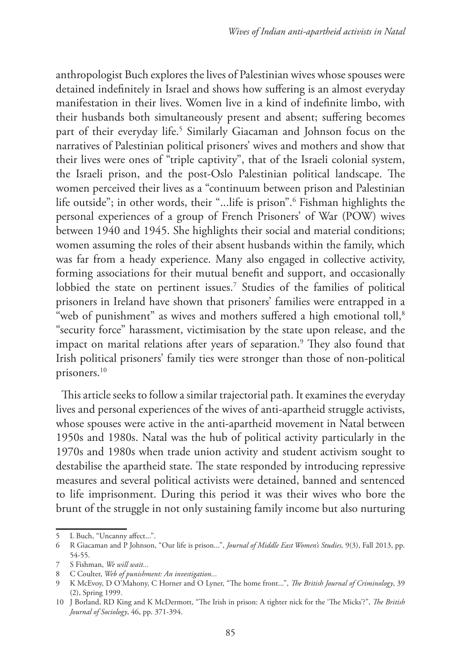anthropologist Buch explores the lives of Palestinian wives whose spouses were detained indefinitely in Israel and shows how suffering is an almost everyday manifestation in their lives. Women live in a kind of indefinite limbo, with their husbands both simultaneously present and absent; suffering becomes part of their everyday life.5 Similarly Giacaman and Johnson focus on the narratives of Palestinian political prisoners' wives and mothers and show that their lives were ones of "triple captivity", that of the Israeli colonial system, the Israeli prison, and the post-Oslo Palestinian political landscape. The women perceived their lives as a "continuum between prison and Palestinian life outside"; in other words, their "...life is prison".6 Fishman highlights the personal experiences of a group of French Prisoners' of War (POW) wives between 1940 and 1945. She highlights their social and material conditions; women assuming the roles of their absent husbands within the family, which was far from a heady experience. Many also engaged in collective activity, forming associations for their mutual benefit and support, and occasionally lobbied the state on pertinent issues.7 Studies of the families of political prisoners in Ireland have shown that prisoners' families were entrapped in a "web of punishment" as wives and mothers suffered a high emotional toll,<sup>8</sup> "security force" harassment, victimisation by the state upon release, and the impact on marital relations after years of separation.9 They also found that Irish political prisoners' family ties were stronger than those of non-political prisoners.10

This article seeks to follow a similar trajectorial path. It examines the everyday lives and personal experiences of the wives of anti-apartheid struggle activists, whose spouses were active in the anti-apartheid movement in Natal between 1950s and 1980s. Natal was the hub of political activity particularly in the 1970s and 1980s when trade union activity and student activism sought to destabilise the apartheid state. The state responded by introducing repressive measures and several political activists were detained, banned and sentenced to life imprisonment. During this period it was their wives who bore the brunt of the struggle in not only sustaining family income but also nurturing

<sup>5</sup> L Buch, "Uncanny affect...".

<sup>6</sup> R Giacaman and P Johnson, "Our life is prison...", *Journal of Middle East Women's Studies,* 9(3), Fall 2013, pp. 54-55.

<sup>7</sup> S Fishman, *We will wait...*

<sup>8</sup> C Coulter, *Web of punishment: An investigation...*

<sup>9</sup> K McEvoy, D O'Mahony, C Horner and O Lyner, "The home front...", *The British Journal of Criminology*, 39 (2), Spring 1999.

<sup>10</sup> J Borland, RD King and K McDermott, "The Irish in prison: A tighter nick for the 'The Micks'?", *The British Journal of Sociology*, 46, pp. 371-394.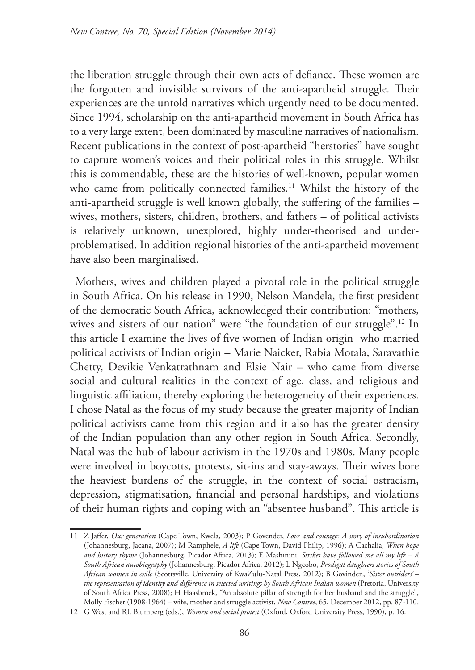the liberation struggle through their own acts of defiance. These women are the forgotten and invisible survivors of the anti-apartheid struggle. Their experiences are the untold narratives which urgently need to be documented. Since 1994, scholarship on the anti-apartheid movement in South Africa has to a very large extent, been dominated by masculine narratives of nationalism. Recent publications in the context of post-apartheid "herstories" have sought to capture women's voices and their political roles in this struggle. Whilst this is commendable, these are the histories of well-known, popular women who came from politically connected families.<sup>11</sup> Whilst the history of the anti-apartheid struggle is well known globally, the suffering of the families – wives, mothers, sisters, children, brothers, and fathers – of political activists is relatively unknown, unexplored, highly under-theorised and underproblematised. In addition regional histories of the anti-apartheid movement have also been marginalised.

Mothers, wives and children played a pivotal role in the political struggle in South Africa. On his release in 1990, Nelson Mandela, the first president of the democratic South Africa, acknowledged their contribution: "mothers, wives and sisters of our nation" were "the foundation of our struggle".<sup>12</sup> In this article I examine the lives of five women of Indian origin who married political activists of Indian origin – Marie Naicker, Rabia Motala, Saravathie Chetty, Devikie Venkatrathnam and Elsie Nair – who came from diverse social and cultural realities in the context of age, class, and religious and linguistic affiliation, thereby exploring the heterogeneity of their experiences. I chose Natal as the focus of my study because the greater majority of Indian political activists came from this region and it also has the greater density of the Indian population than any other region in South Africa. Secondly, Natal was the hub of labour activism in the 1970s and 1980s. Many people were involved in boycotts, protests, sit-ins and stay-aways. Their wives bore the heaviest burdens of the struggle, in the context of social ostracism, depression, stigmatisation, financial and personal hardships, and violations of their human rights and coping with an "absentee husband". This article is

<sup>11</sup> Z Jaffer, *Our generation* (Cape Town, Kwela, 2003); P Govender, *Love and courage: A story of insubordination*  (Johannesburg, Jacana, 2007); M Ramphele, *A life* (Cape Town, David Philip, 1996); A Cachalia, *When hope and history rhyme* (Johannesburg, Picador Africa, 2013); E Mashinini, *Strikes have followed me all my life – A South African autobiography* (Johannesburg, Picador Africa, 2012); L Ngcobo, *Prodigal daughters stories of South African women in exile* (Scottsville, University of KwaZulu-Natal Press, 2012); B Govinden, '*Sister outsiders' – the representation of identity and difference in selected writings by South African Indian women* (Pretoria, University of South Africa Press, 2008); H Haasbroek, "An absolute pillar of strength for her husband and the struggle", Molly Fischer (1908-1964) – wife, mother and struggle activist, *New Contree*, 65, December 2012, pp. 87-110.

<sup>12</sup> G West and RL Blumberg (eds.), *Women and social protest* (Oxford, Oxford University Press, 1990), p. 16.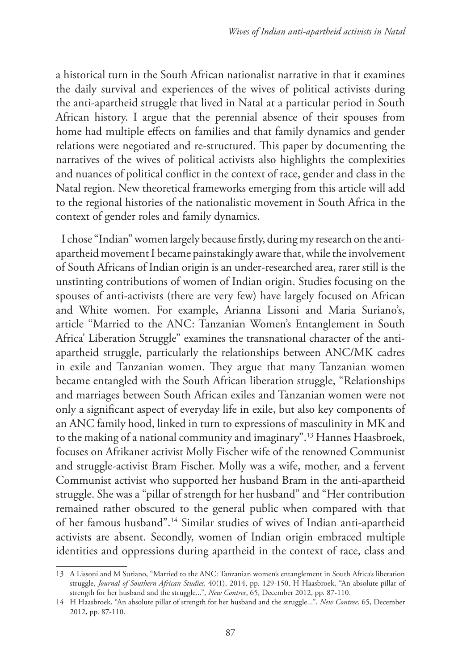a historical turn in the South African nationalist narrative in that it examines the daily survival and experiences of the wives of political activists during the anti-apartheid struggle that lived in Natal at a particular period in South African history. I argue that the perennial absence of their spouses from home had multiple effects on families and that family dynamics and gender relations were negotiated and re-structured. This paper by documenting the narratives of the wives of political activists also highlights the complexities and nuances of political conflict in the context of race, gender and class in the Natal region. New theoretical frameworks emerging from this article will add to the regional histories of the nationalistic movement in South Africa in the context of gender roles and family dynamics.

I chose "Indian" women largely because firstly, during my research on the antiapartheid movement I became painstakingly aware that, while the involvement of South Africans of Indian origin is an under-researched area, rarer still is the unstinting contributions of women of Indian origin. Studies focusing on the spouses of anti-activists (there are very few) have largely focused on African and White women. For example, Arianna Lissoni and Maria Suriano's, article "Married to the ANC: Tanzanian Women's Entanglement in South Africa' Liberation Struggle" examines the transnational character of the antiapartheid struggle, particularly the relationships between ANC/MK cadres in exile and Tanzanian women. They argue that many Tanzanian women became entangled with the South African liberation struggle, "Relationships and marriages between South African exiles and Tanzanian women were not only a significant aspect of everyday life in exile, but also key components of an ANC family hood, linked in turn to expressions of masculinity in MK and to the making of a national community and imaginary".13 Hannes Haasbroek, focuses on Afrikaner activist Molly Fischer wife of the renowned Communist and struggle-activist Bram Fischer. Molly was a wife, mother, and a fervent Communist activist who supported her husband Bram in the anti-apartheid struggle. She was a "pillar of strength for her husband" and "Her contribution remained rather obscured to the general public when compared with that of her famous husband".14 Similar studies of wives of Indian anti-apartheid activists are absent. Secondly, women of Indian origin embraced multiple identities and oppressions during apartheid in the context of race, class and

<sup>13</sup> A Lissoni and M Suriano, "Married to the ANC: Tanzanian women's entanglement in South Africa's liberation struggle, *Journal of Southern African Studies*, 40(1), 2014, pp. 129-150. H Haasbroek, "An absolute pillar of strength for her husband and the struggle...", *New Contree*, 65, December 2012, pp. 87-110.

<sup>14</sup> H Haasbroek, "An absolute pillar of strength for her husband and the struggle...", *New Contree*, 65, December 2012, pp. 87-110.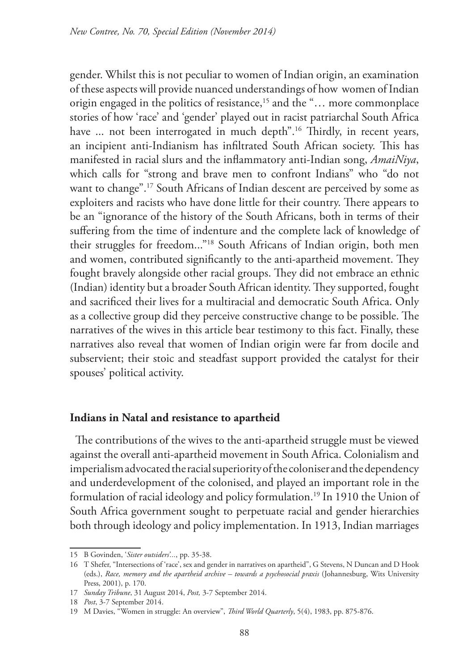gender. Whilst this is not peculiar to women of Indian origin, an examination of these aspects will provide nuanced understandings of how women of Indian origin engaged in the politics of resistance,<sup>15</sup> and the "... more commonplace stories of how 'race' and 'gender' played out in racist patriarchal South Africa have ... not been interrogated in much depth".<sup>16</sup> Thirdly, in recent years, an incipient anti-Indianism has infiltrated South African society. This has manifested in racial slurs and the inflammatory anti-Indian song, *AmaiNiya*, which calls for "strong and brave men to confront Indians" who "do not want to change".17 South Africans of Indian descent are perceived by some as exploiters and racists who have done little for their country. There appears to be an "ignorance of the history of the South Africans, both in terms of their suffering from the time of indenture and the complete lack of knowledge of their struggles for freedom..."18 South Africans of Indian origin, both men and women, contributed significantly to the anti-apartheid movement. They fought bravely alongside other racial groups. They did not embrace an ethnic (Indian) identity but a broader South African identity. They supported, fought and sacrificed their lives for a multiracial and democratic South Africa. Only as a collective group did they perceive constructive change to be possible. The narratives of the wives in this article bear testimony to this fact. Finally, these narratives also reveal that women of Indian origin were far from docile and subservient; their stoic and steadfast support provided the catalyst for their spouses' political activity.

#### **Indians in Natal and resistance to apartheid**

The contributions of the wives to the anti-apartheid struggle must be viewed against the overall anti-apartheid movement in South Africa. Colonialism and imperialism advocated the racial superiority of the coloniser and the dependency and underdevelopment of the colonised, and played an important role in the formulation of racial ideology and policy formulation.<sup>19</sup> In 1910 the Union of South Africa government sought to perpetuate racial and gender hierarchies both through ideology and policy implementation. In 1913, Indian marriages

<sup>15</sup> B Govinden, '*Sister outsiders'...*, pp. 35-38.

<sup>16</sup> T Shefer, "Intersections of 'race', sex and gender in narratives on apartheid", G Stevens, N Duncan and D Hook (eds.), *Race, memory and the apartheid archive – towards a psychosocial praxis* (Johannesburg, Wits University Press, 2001), p. 170.

<sup>17</sup> *Sunday Tribune*, 31 August 2014, *Post,* 3-7 September 2014.

<sup>18</sup> *Post*, 3-7 September 2014.

<sup>19</sup> M Davies, "Women in struggle: An overview", *Third World Quarterly*, 5(4), 1983, pp. 875-876.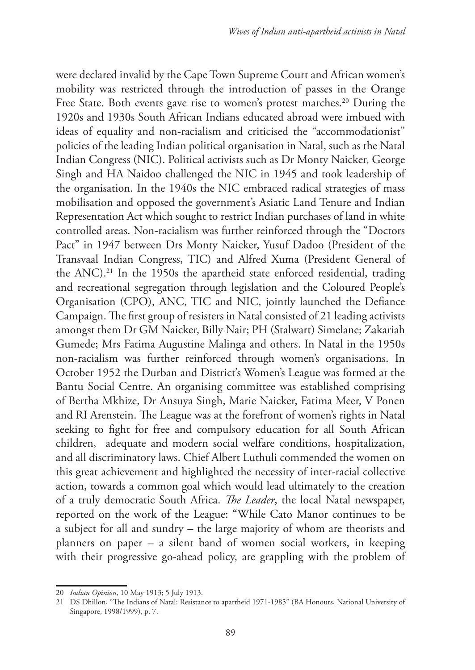were declared invalid by the Cape Town Supreme Court and African women's mobility was restricted through the introduction of passes in the Orange Free State. Both events gave rise to women's protest marches.<sup>20</sup> During the 1920s and 1930s South African Indians educated abroad were imbued with ideas of equality and non-racialism and criticised the "accommodationist" policies of the leading Indian political organisation in Natal, such as the Natal Indian Congress (NIC). Political activists such as Dr Monty Naicker, George Singh and HA Naidoo challenged the NIC in 1945 and took leadership of the organisation. In the 1940s the NIC embraced radical strategies of mass mobilisation and opposed the government's Asiatic Land Tenure and Indian Representation Act which sought to restrict Indian purchases of land in white controlled areas. Non-racialism was further reinforced through the "Doctors Pact" in 1947 between Drs Monty Naicker, Yusuf Dadoo (President of the Transvaal Indian Congress, TIC) and Alfred Xuma (President General of the ANC).<sup>21</sup> In the 1950s the apartheid state enforced residential, trading and recreational segregation through legislation and the Coloured People's Organisation (CPO), ANC, TIC and NIC, jointly launched the Defiance Campaign. The first group of resisters in Natal consisted of 21 leading activists amongst them Dr GM Naicker, Billy Nair; PH (Stalwart) Simelane; Zakariah Gumede; Mrs Fatima Augustine Malinga and others. In Natal in the 1950s non-racialism was further reinforced through women's organisations. In October 1952 the Durban and District's Women's League was formed at the Bantu Social Centre. An organising committee was established comprising of Bertha Mkhize, Dr Ansuya Singh, Marie Naicker, Fatima Meer, V Ponen and RI Arenstein. The League was at the forefront of women's rights in Natal seeking to fight for free and compulsory education for all South African children, adequate and modern social welfare conditions, hospitalization, and all discriminatory laws. Chief Albert Luthuli commended the women on this great achievement and highlighted the necessity of inter-racial collective action, towards a common goal which would lead ultimately to the creation of a truly democratic South Africa. *The Leader*, the local Natal newspaper, reported on the work of the League: "While Cato Manor continues to be a subject for all and sundry – the large majority of whom are theorists and planners on paper – a silent band of women social workers, in keeping with their progressive go-ahead policy, are grappling with the problem of

<sup>20</sup> *Indian Opinion*, 10 May 1913; 5 July 1913.

<sup>21</sup> DS Dhillon, "The Indians of Natal: Resistance to apartheid 1971-1985" (BA Honours, National University of Singapore, 1998/1999), p. 7.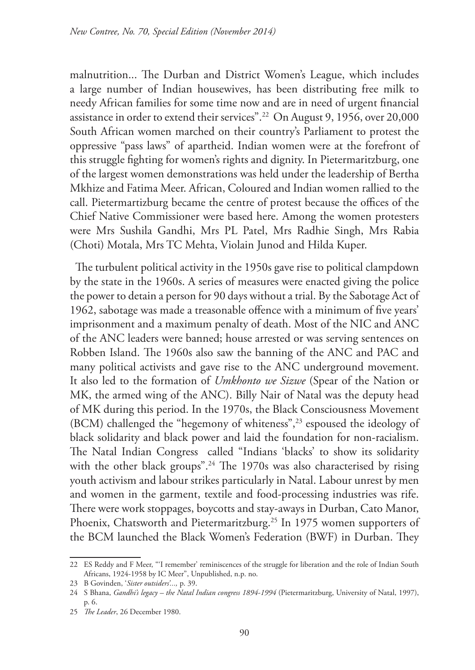malnutrition... The Durban and District Women's League, which includes a large number of Indian housewives, has been distributing free milk to needy African families for some time now and are in need of urgent financial assistance in order to extend their services".22 On August 9, 1956, over 20,000 South African women marched on their country's Parliament to protest the oppressive "pass laws" of apartheid. Indian women were at the forefront of this struggle fighting for women's rights and dignity. In Pietermaritzburg, one of the largest women demonstrations was held under the leadership of Bertha Mkhize and Fatima Meer. African, Coloured and Indian women rallied to the call. Pietermartizburg became the centre of protest because the offices of the Chief Native Commissioner were based here. Among the women protesters were Mrs Sushila Gandhi, Mrs PL Patel, Mrs Radhie Singh, Mrs Rabia (Choti) Motala, Mrs TC Mehta, Violain Junod and Hilda Kuper.

The turbulent political activity in the 1950s gave rise to political clampdown by the state in the 1960s. A series of measures were enacted giving the police the power to detain a person for 90 days without a trial. By the Sabotage Act of 1962, sabotage was made a treasonable offence with a minimum of five years' imprisonment and a maximum penalty of death. Most of the NIC and ANC of the ANC leaders were banned; house arrested or was serving sentences on Robben Island. The 1960s also saw the banning of the ANC and PAC and many political activists and gave rise to the ANC underground movement. It also led to the formation of *Umkhonto we Sizwe* (Spear of the Nation or MK, the armed wing of the ANC). Billy Nair of Natal was the deputy head of MK during this period. In the 1970s, the Black Consciousness Movement (BCM) challenged the "hegemony of whiteness",23 espoused the ideology of black solidarity and black power and laid the foundation for non-racialism. The Natal Indian Congress called "Indians 'blacks' to show its solidarity with the other black groups".<sup>24</sup> The 1970s was also characterised by rising youth activism and labour strikes particularly in Natal. Labour unrest by men and women in the garment, textile and food-processing industries was rife. There were work stoppages, boycotts and stay-aways in Durban, Cato Manor, Phoenix, Chatsworth and Pietermaritzburg.<sup>25</sup> In 1975 women supporters of the BCM launched the Black Women's Federation (BWF) in Durban. They

<sup>22</sup> ES Reddy and F Meer, "'I remember' reminiscences of the struggle for liberation and the role of Indian South Africans, 1924-1958 by IC Meer", Unpublished, n.p. no.

<sup>23</sup> B Govinden, '*Sister outsiders'...,* p. 39.

<sup>24</sup> S Bhana, *Gandhi's legacy – the Natal Indian congress 1894-1994* (Pietermaritzburg, University of Natal, 1997), p. 6.

<sup>25</sup> *The Leader*, 26 December 1980.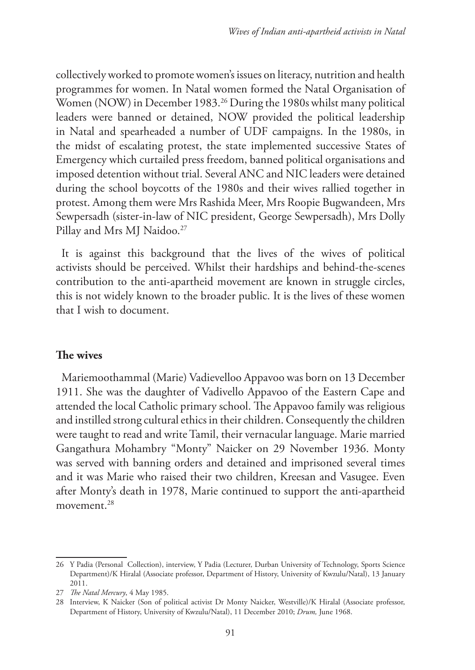collectively worked to promote women's issues on literacy, nutrition and health programmes for women. In Natal women formed the Natal Organisation of Women (NOW) in December 1983.<sup>26</sup> During the 1980s whilst many political leaders were banned or detained, NOW provided the political leadership in Natal and spearheaded a number of UDF campaigns. In the 1980s, in the midst of escalating protest, the state implemented successive States of Emergency which curtailed press freedom, banned political organisations and imposed detention without trial. Several ANC and NIC leaders were detained during the school boycotts of the 1980s and their wives rallied together in protest. Among them were Mrs Rashida Meer, Mrs Roopie Bugwandeen, Mrs Sewpersadh (sister-in-law of NIC president, George Sewpersadh), Mrs Dolly Pillay and Mrs MJ Naidoo.<sup>27</sup>

It is against this background that the lives of the wives of political activists should be perceived. Whilst their hardships and behind-the-scenes contribution to the anti-apartheid movement are known in struggle circles, this is not widely known to the broader public. It is the lives of these women that I wish to document.

## **The wives**

Mariemoothammal (Marie) Vadievelloo Appavoo was born on 13 December 1911. She was the daughter of Vadivello Appavoo of the Eastern Cape and attended the local Catholic primary school. The Appavoo family was religious and instilled strong cultural ethics in their children. Consequently the children were taught to read and write Tamil, their vernacular language. Marie married Gangathura Mohambry "Monty" Naicker on 29 November 1936. Monty was served with banning orders and detained and imprisoned several times and it was Marie who raised their two children, Kreesan and Vasugee. Even after Monty's death in 1978, Marie continued to support the anti-apartheid movement.28

<sup>26</sup> Y Padia (Personal Collection), interview, Y Padia (Lecturer, Durban University of Technology, Sports Science Department)/K Hiralal (Associate professor, Department of History, University of Kwzulu/Natal), 13 January 2011.

<sup>27</sup> *The Natal Mercury*, 4 May 1985.

<sup>28</sup> Interview, K Naicker (Son of political activist Dr Monty Naicker, Westville)/K Hiralal (Associate professor, Department of History, University of Kwzulu/Natal), 11 December 2010; *Drum,* June 1968.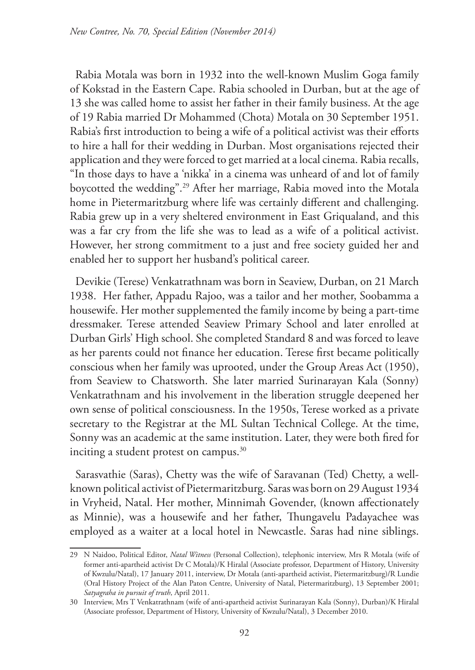Rabia Motala was born in 1932 into the well-known Muslim Goga family of Kokstad in the Eastern Cape. Rabia schooled in Durban, but at the age of 13 she was called home to assist her father in their family business. At the age of 19 Rabia married Dr Mohammed (Chota) Motala on 30 September 1951. Rabia's first introduction to being a wife of a political activist was their efforts to hire a hall for their wedding in Durban. Most organisations rejected their application and they were forced to get married at a local cinema. Rabia recalls, "In those days to have a 'nikka' in a cinema was unheard of and lot of family boycotted the wedding".29 After her marriage, Rabia moved into the Motala home in Pietermaritzburg where life was certainly different and challenging. Rabia grew up in a very sheltered environment in East Griqualand, and this was a far cry from the life she was to lead as a wife of a political activist. However, her strong commitment to a just and free society guided her and enabled her to support her husband's political career.

Devikie (Terese) Venkatrathnam was born in Seaview, Durban, on 21 March 1938. Her father, Appadu Rajoo, was a tailor and her mother, Soobamma a housewife. Her mother supplemented the family income by being a part-time dressmaker. Terese attended Seaview Primary School and later enrolled at Durban Girls' High school. She completed Standard 8 and was forced to leave as her parents could not finance her education. Terese first became politically conscious when her family was uprooted, under the Group Areas Act (1950), from Seaview to Chatsworth. She later married Surinarayan Kala (Sonny) Venkatrathnam and his involvement in the liberation struggle deepened her own sense of political consciousness. In the 1950s, Terese worked as a private secretary to the Registrar at the ML Sultan Technical College. At the time, Sonny was an academic at the same institution. Later, they were both fired for inciting a student protest on campus.<sup>30</sup>

Sarasvathie (Saras), Chetty was the wife of Saravanan (Ted) Chetty, a wellknown political activist of Pietermaritzburg. Saras was born on 29 August 1934 in Vryheid, Natal. Her mother, Minnimah Govender, (known affectionately as Minnie), was a housewife and her father, Thungavelu Padayachee was employed as a waiter at a local hotel in Newcastle. Saras had nine siblings.

<sup>29</sup> N Naidoo, Political Editor, *Natal Witness* (Personal Collection), telephonic interview, Mrs R Motala (wife of former anti-apartheid activist Dr C Motala)/K Hiralal (Associate professor, Department of History, University of Kwzulu/Natal), 17 January 2011, interview, Dr Motala (anti-apartheid activist, Pietermaritzburg)/R Lundie (Oral History Project of the Alan Paton Centre, University of Natal, Pietermaritzburg), 13 September 2001; *Satyagraha in pursuit of truth*, April 2011.

<sup>30</sup> Interview, Mrs T Venkatrathnam (wife of anti-apartheid activist Surinarayan Kala (Sonny), Durban)/K Hiralal (Associate professor, Department of History, University of Kwzulu/Natal), 3 December 2010.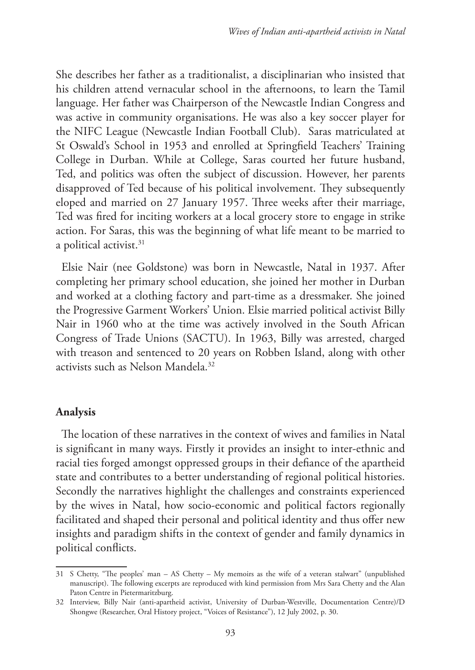She describes her father as a traditionalist, a disciplinarian who insisted that his children attend vernacular school in the afternoons, to learn the Tamil language. Her father was Chairperson of the Newcastle Indian Congress and was active in community organisations. He was also a key soccer player for the NIFC League (Newcastle Indian Football Club). Saras matriculated at St Oswald's School in 1953 and enrolled at Springfield Teachers' Training College in Durban. While at College, Saras courted her future husband, Ted, and politics was often the subject of discussion. However, her parents disapproved of Ted because of his political involvement. They subsequently eloped and married on 27 January 1957. Three weeks after their marriage, Ted was fired for inciting workers at a local grocery store to engage in strike action. For Saras, this was the beginning of what life meant to be married to a political activist.<sup>31</sup>

Elsie Nair (nee Goldstone) was born in Newcastle, Natal in 1937. After completing her primary school education, she joined her mother in Durban and worked at a clothing factory and part-time as a dressmaker. She joined the Progressive Garment Workers' Union. Elsie married political activist Billy Nair in 1960 who at the time was actively involved in the South African Congress of Trade Unions (SACTU). In 1963, Billy was arrested, charged with treason and sentenced to 20 years on Robben Island, along with other activists such as Nelson Mandela.32

## **Analysis**

The location of these narratives in the context of wives and families in Natal is significant in many ways. Firstly it provides an insight to inter-ethnic and racial ties forged amongst oppressed groups in their defiance of the apartheid state and contributes to a better understanding of regional political histories. Secondly the narratives highlight the challenges and constraints experienced by the wives in Natal, how socio-economic and political factors regionally facilitated and shaped their personal and political identity and thus offer new insights and paradigm shifts in the context of gender and family dynamics in political conflicts.

<sup>31</sup> S Chetty, "The peoples' man – AS Chetty – My memoirs as the wife of a veteran stalwart" (unpublished manuscript). The following excerpts are reproduced with kind permission from Mrs Sara Chetty and the Alan Paton Centre in Pietermaritzburg.

<sup>32</sup> Interview, Billy Nair (anti-apartheid activist, University of Durban-Westville, Documentation Centre)/D Shongwe (Researcher, Oral History project, "Voices of Resistance"), 12 July 2002, p. 30.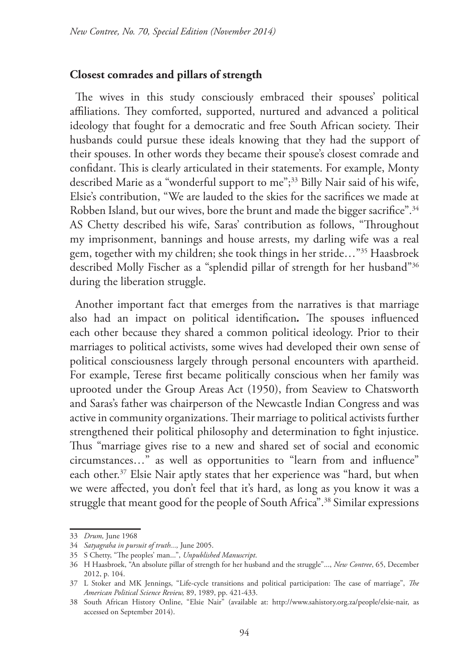#### **Closest comrades and pillars of strength**

The wives in this study consciously embraced their spouses' political affiliations. They comforted, supported, nurtured and advanced a political ideology that fought for a democratic and free South African society. Their husbands could pursue these ideals knowing that they had the support of their spouses. In other words they became their spouse's closest comrade and confidant. This is clearly articulated in their statements. For example, Monty described Marie as a "wonderful support to me";<sup>33</sup> Billy Nair said of his wife, Elsie's contribution, "We are lauded to the skies for the sacrifices we made at Robben Island, but our wives, bore the brunt and made the bigger sacrifice".<sup>34</sup> AS Chetty described his wife, Saras' contribution as follows, "Throughout my imprisonment, bannings and house arrests, my darling wife was a real gem, together with my children; she took things in her stride…"35 Haasbroek described Molly Fischer as a "splendid pillar of strength for her husband"36 during the liberation struggle.

Another important fact that emerges from the narratives is that marriage also had an impact on political identification*.* The spouses influenced each other because they shared a common political ideology. Prior to their marriages to political activists, some wives had developed their own sense of political consciousness largely through personal encounters with apartheid. For example, Terese first became politically conscious when her family was uprooted under the Group Areas Act (1950), from Seaview to Chatsworth and Saras's father was chairperson of the Newcastle Indian Congress and was active in community organizations. Their marriage to political activists further strengthened their political philosophy and determination to fight injustice. Thus "marriage gives rise to a new and shared set of social and economic circumstances…" as well as opportunities to "learn from and influence" each other.<sup>37</sup> Elsie Nair aptly states that her experience was "hard, but when we were affected, you don't feel that it's hard, as long as you know it was a struggle that meant good for the people of South Africa".<sup>38</sup> Similar expressions

<sup>33</sup> *Drum,* June 1968

<sup>34</sup> *Satyagraha in pursuit of truth...,* June 2005.

<sup>35</sup> S Chetty, "The peoples' man...", *Unpublished Manuscript*.

<sup>36</sup> H Haasbroek, "An absolute pillar of strength for her husband and the struggle"..., *New Contree*, 65, December 2012, p. 104.

<sup>37</sup> L Stoker and MK Jennings, "Life-cycle transitions and political participation: The case of marriage", *The American Political Science Review,* 89, 1989, pp. 421-433.

<sup>38</sup> South African History Online, "Elsie Nair" (available at: http://www.sahistory.org.za/people/elsie-nair, as accessed on September 2014).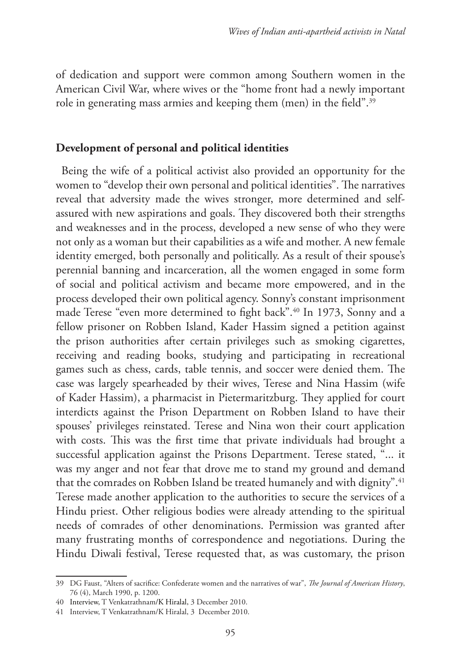of dedication and support were common among Southern women in the American Civil War, where wives or the "home front had a newly important role in generating mass armies and keeping them (men) in the field".39

#### **Development of personal and political identities**

Being the wife of a political activist also provided an opportunity for the women to "develop their own personal and political identities". The narratives reveal that adversity made the wives stronger, more determined and selfassured with new aspirations and goals. They discovered both their strengths and weaknesses and in the process, developed a new sense of who they were not only as a woman but their capabilities as a wife and mother. A new female identity emerged, both personally and politically. As a result of their spouse's perennial banning and incarceration, all the women engaged in some form of social and political activism and became more empowered, and in the process developed their own political agency. Sonny's constant imprisonment made Terese "even more determined to fight back".40 In 1973, Sonny and a fellow prisoner on Robben Island, Kader Hassim signed a petition against the prison authorities after certain privileges such as smoking cigarettes, receiving and reading books, studying and participating in recreational games such as chess, cards, table tennis, and soccer were denied them. The case was largely spearheaded by their wives, Terese and Nina Hassim (wife of Kader Hassim), a pharmacist in Pietermaritzburg. They applied for court interdicts against the Prison Department on Robben Island to have their spouses' privileges reinstated. Terese and Nina won their court application with costs. This was the first time that private individuals had brought a successful application against the Prisons Department. Terese stated, "... it was my anger and not fear that drove me to stand my ground and demand that the comrades on Robben Island be treated humanely and with dignity".<sup>41</sup> Terese made another application to the authorities to secure the services of a Hindu priest. Other religious bodies were already attending to the spiritual needs of comrades of other denominations. Permission was granted after many frustrating months of correspondence and negotiations. During the Hindu Diwali festival, Terese requested that, as was customary, the prison

<sup>39</sup> DG Faust, "Alters of sacrifice: Confederate women and the narratives of war", *The Journal of American History*, 76 (4), March 1990, p. 1200.

<sup>40</sup> Interview, T Venkatrathnam/K Hiralal, 3 December 2010.

<sup>41</sup> Interview, T Venkatrathnam/K Hiralal, 3 December 2010.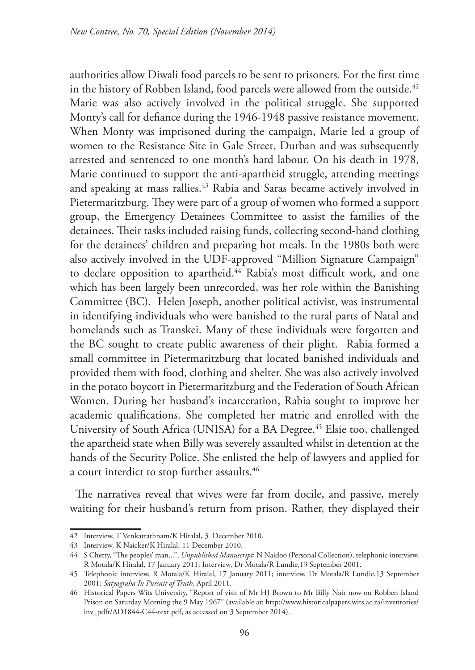authorities allow Diwali food parcels to be sent to prisoners. For the first time in the history of Robben Island, food parcels were allowed from the outside.<sup>42</sup> Marie was also actively involved in the political struggle. She supported Monty's call for defiance during the 1946-1948 passive resistance movement. When Monty was imprisoned during the campaign, Marie led a group of women to the Resistance Site in Gale Street, Durban and was subsequently arrested and sentenced to one month's hard labour. On his death in 1978, Marie continued to support the anti-apartheid struggle, attending meetings and speaking at mass rallies.<sup>43</sup> Rabia and Saras became actively involved in Pietermaritzburg. They were part of a group of women who formed a support group, the Emergency Detainees Committee to assist the families of the detainees. Their tasks included raising funds, collecting second-hand clothing for the detainees' children and preparing hot meals. In the 1980s both were also actively involved in the UDF-approved "Million Signature Campaign" to declare opposition to apartheid.<sup>44</sup> Rabia's most difficult work, and one which has been largely been unrecorded, was her role within the Banishing Committee (BC). Helen Joseph, another political activist, was instrumental in identifying individuals who were banished to the rural parts of Natal and homelands such as Transkei. Many of these individuals were forgotten and the BC sought to create public awareness of their plight. Rabia formed a small committee in Pietermaritzburg that located banished individuals and provided them with food, clothing and shelter. She was also actively involved in the potato boycott in Pietermaritzburg and the Federation of South African Women. During her husband's incarceration, Rabia sought to improve her academic qualifications. She completed her matric and enrolled with the University of South Africa (UNISA) for a BA Degree.<sup>45</sup> Elsie too, challenged the apartheid state when Billy was severely assaulted whilst in detention at the hands of the Security Police. She enlisted the help of lawyers and applied for a court interdict to stop further assaults.<sup>46</sup>

The narratives reveal that wives were far from docile, and passive, merely waiting for their husband's return from prison. Rather, they displayed their

<sup>42</sup> Interview, T Venkatrathnam/K Hiralal, 3 December 2010.

<sup>43</sup> Interview, K Naicker/K Hiralal, 11 December 2010.

<sup>44</sup> S Chetty, "The peoples' man...", *Unpublished Manuscript*; N Naidoo (Personal Collection), telephonic interview, R Motala/K Hiralal, 17 January 2011; Interview, Dr Motala/R Lundie,13 September 2001.

<sup>45</sup> Telephonic interview, R Motala/K Hiralal, 17 January 2011; interview, Dr Motala/R Lundie,13 September 2001; *Satyagraha In Pursuit of Truth*, April 2011.

<sup>46</sup> Historical Papers Wits University, "Report of visit of Mr HJ Brown to Mr Billy Nair now on Robben Island Prison on Saturday Morning the 9 May 1967" (available at: http://www.historicalpapers.wits.ac.za/inventories/ inv\_pdft/AD1844-C44-text.pdf, as accessed on 3 September 2014).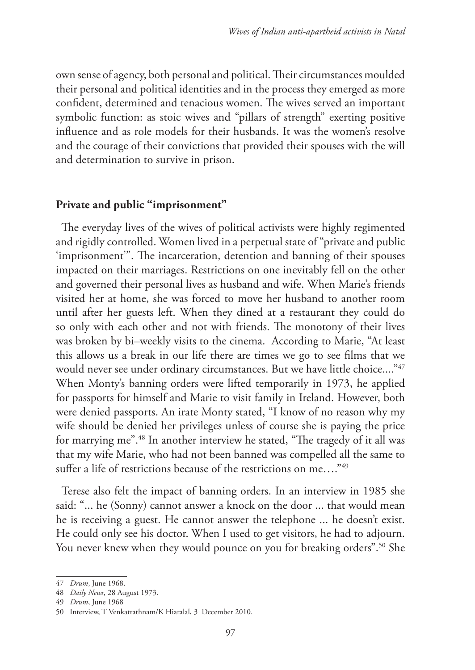own sense of agency, both personal and political. Their circumstances moulded their personal and political identities and in the process they emerged as more confident, determined and tenacious women. The wives served an important symbolic function: as stoic wives and "pillars of strength" exerting positive influence and as role models for their husbands. It was the women's resolve and the courage of their convictions that provided their spouses with the will and determination to survive in prison.

#### **Private and public "imprisonment"**

The everyday lives of the wives of political activists were highly regimented and rigidly controlled. Women lived in a perpetual state of "private and public 'imprisonment'". The incarceration, detention and banning of their spouses impacted on their marriages. Restrictions on one inevitably fell on the other and governed their personal lives as husband and wife. When Marie's friends visited her at home, she was forced to move her husband to another room until after her guests left. When they dined at a restaurant they could do so only with each other and not with friends. The monotony of their lives was broken by bi–weekly visits to the cinema. According to Marie, "At least this allows us a break in our life there are times we go to see films that we would never see under ordinary circumstances. But we have little choice...."47 When Monty's banning orders were lifted temporarily in 1973, he applied for passports for himself and Marie to visit family in Ireland. However, both were denied passports. An irate Monty stated, "I know of no reason why my wife should be denied her privileges unless of course she is paying the price for marrying me".48 In another interview he stated, "The tragedy of it all was that my wife Marie, who had not been banned was compelled all the same to suffer a life of restrictions because of the restrictions on me...."<sup>49</sup>

Terese also felt the impact of banning orders. In an interview in 1985 she said: "... he (Sonny) cannot answer a knock on the door ... that would mean he is receiving a guest. He cannot answer the telephone ... he doesn't exist. He could only see his doctor. When I used to get visitors, he had to adjourn. You never knew when they would pounce on you for breaking orders".<sup>50</sup> She

<sup>47</sup> *Drum*, June 1968.

<sup>48</sup> *Daily News*, 28 August 1973.

<sup>49</sup> *Drum*, June 1968

<sup>50</sup> Interview, T Venkatrathnam/K Hiaralal, 3 December 2010.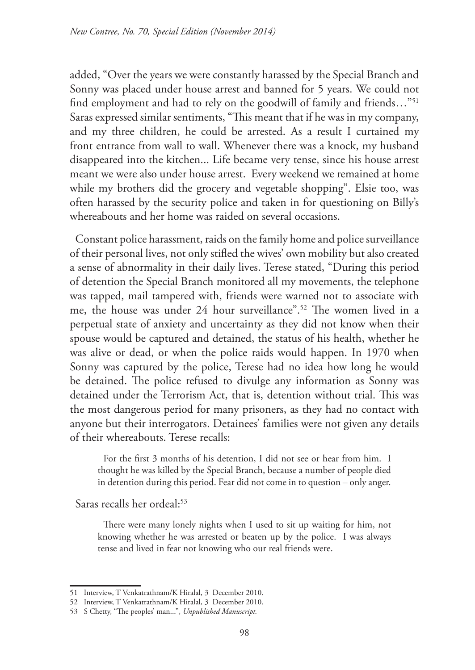added, "Over the years we were constantly harassed by the Special Branch and Sonny was placed under house arrest and banned for 5 years. We could not find employment and had to rely on the goodwill of family and friends…"51 Saras expressed similar sentiments, "This meant that if he was in my company, and my three children, he could be arrested. As a result I curtained my front entrance from wall to wall. Whenever there was a knock, my husband disappeared into the kitchen... Life became very tense, since his house arrest meant we were also under house arrest. Every weekend we remained at home while my brothers did the grocery and vegetable shopping". Elsie too, was often harassed by the security police and taken in for questioning on Billy's whereabouts and her home was raided on several occasions.

Constant police harassment, raids on the family home and police surveillance of their personal lives, not only stifled the wives' own mobility but also created a sense of abnormality in their daily lives. Terese stated, "During this period of detention the Special Branch monitored all my movements, the telephone was tapped, mail tampered with, friends were warned not to associate with me, the house was under 24 hour surveillance".52 The women lived in a perpetual state of anxiety and uncertainty as they did not know when their spouse would be captured and detained, the status of his health, whether he was alive or dead, or when the police raids would happen. In 1970 when Sonny was captured by the police, Terese had no idea how long he would be detained. The police refused to divulge any information as Sonny was detained under the Terrorism Act, that is, detention without trial. This was the most dangerous period for many prisoners, as they had no contact with anyone but their interrogators. Detainees' families were not given any details of their whereabouts. Terese recalls:

For the first 3 months of his detention, I did not see or hear from him. I thought he was killed by the Special Branch, because a number of people died in detention during this period. Fear did not come in to question – only anger.

Saras recalls her ordeal:<sup>53</sup>

There were many lonely nights when I used to sit up waiting for him, not knowing whether he was arrested or beaten up by the police. I was always tense and lived in fear not knowing who our real friends were.

<sup>51</sup> Interview, T Venkatrathnam/K Hiralal, 3 December 2010.

<sup>52</sup> Interview, T Venkatrathnam/K Hiralal, 3 December 2010.

<sup>53</sup> S Chetty, "The peoples' man...", *Unpublished Manuscript.*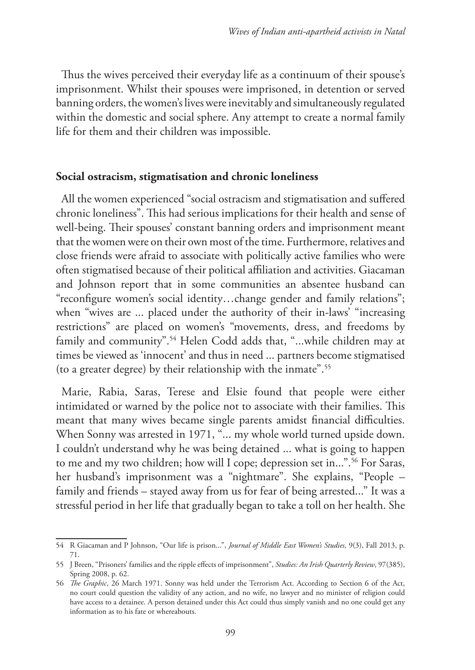Thus the wives perceived their everyday life as a continuum of their spouse's imprisonment. Whilst their spouses were imprisoned, in detention or served banning orders, the women's lives were inevitably and simultaneously regulated within the domestic and social sphere. Any attempt to create a normal family life for them and their children was impossible.

### **Social ostracism, stigmatisation and chronic loneliness**

All the women experienced "social ostracism and stigmatisation and suffered chronic loneliness". This had serious implications for their health and sense of well-being. Their spouses' constant banning orders and imprisonment meant that the women were on their own most of the time. Furthermore, relatives and close friends were afraid to associate with politically active families who were often stigmatised because of their political affiliation and activities. Giacaman and Johnson report that in some communities an absentee husband can "reconfigure women's social identity…change gender and family relations"; when "wives are ... placed under the authority of their in-laws' "increasing restrictions" are placed on women's "movements, dress, and freedoms by family and community".<sup>54</sup> Helen Codd adds that, "...while children may at times be viewed as 'innocent' and thus in need ... partners become stigmatised (to a greater degree) by their relationship with the inmate".55

Marie, Rabia, Saras, Terese and Elsie found that people were either intimidated or warned by the police not to associate with their families. This meant that many wives became single parents amidst financial difficulties. When Sonny was arrested in 1971, "... my whole world turned upside down. I couldn't understand why he was being detained ... what is going to happen to me and my two children; how will I cope; depression set in...".56 For Saras, her husband's imprisonment was a "nightmare". She explains, "People – family and friends – stayed away from us for fear of being arrested..." It was a stressful period in her life that gradually began to take a toll on her health. She

<sup>54</sup> R Giacaman and P Johnson, "Our life is prison...", *Journal of Middle East Women's Studies,* 9(3), Fall 2013, p. 71.

<sup>55</sup> J Breen, "Prisoners' families and the ripple effects of imprisonment", *Studies: An Irish Quarterly Review*, 97(385), Spring 2008, p. 62.

<sup>56</sup> *The Graphic*, 26 March 1971. Sonny was held under the Terrorism Act. According to Section 6 of the Act, no court could question the validity of any action, and no wife, no lawyer and no minister of religion could have access to a detainee. A person detained under this Act could thus simply vanish and no one could get any information as to his fate or whereabouts.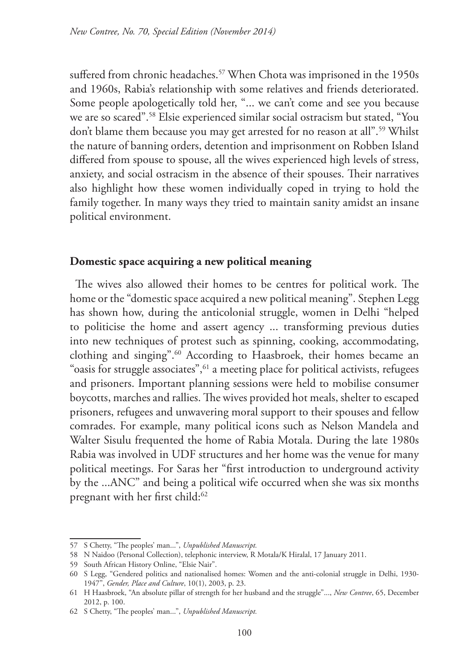suffered from chronic headaches.<sup>57</sup> When Chota was imprisoned in the 1950s and 1960s, Rabia's relationship with some relatives and friends deteriorated. Some people apologetically told her, "... we can't come and see you because we are so scared".58 Elsie experienced similar social ostracism but stated, "You don't blame them because you may get arrested for no reason at all".<sup>59</sup> Whilst the nature of banning orders, detention and imprisonment on Robben Island differed from spouse to spouse, all the wives experienced high levels of stress, anxiety, and social ostracism in the absence of their spouses. Their narratives also highlight how these women individually coped in trying to hold the family together. In many ways they tried to maintain sanity amidst an insane political environment.

#### **Domestic space acquiring a new political meaning**

The wives also allowed their homes to be centres for political work. The home or the "domestic space acquired a new political meaning". Stephen Legg has shown how, during the anticolonial struggle, women in Delhi "helped to politicise the home and assert agency ... transforming previous duties into new techniques of protest such as spinning, cooking, accommodating, clothing and singing".<sup>60</sup> According to Haasbroek, their homes became an "oasis for struggle associates",<sup>61</sup> a meeting place for political activists, refugees and prisoners. Important planning sessions were held to mobilise consumer boycotts, marches and rallies. The wives provided hot meals, shelter to escaped prisoners, refugees and unwavering moral support to their spouses and fellow comrades. For example, many political icons such as Nelson Mandela and Walter Sisulu frequented the home of Rabia Motala. During the late 1980s Rabia was involved in UDF structures and her home was the venue for many political meetings. For Saras her "first introduction to underground activity by the ...ANC" and being a political wife occurred when she was six months pregnant with her first child:<sup>62</sup>

<sup>57</sup> S Chetty, "The peoples' man...", *Unpublished Manuscript.*

<sup>58</sup> N Naidoo (Personal Collection), telephonic interview, R Motala/K Hiralal, 17 January 2011.

<sup>59</sup> South African History Online, "Elsie Nair".

<sup>60</sup> S Legg, "Gendered politics and nationalised homes: Women and the anti-colonial struggle in Delhi, 1930- 1947", *Gender, Place and Culture*, 10(1), 2003, p. 23.

<sup>61</sup> H Haasbroek, "An absolute pillar of strength for her husband and the struggle"..., *New Contree*, 65, December 2012, p. 100.

<sup>62</sup> S Chetty, "The peoples' man...", *Unpublished Manuscript.*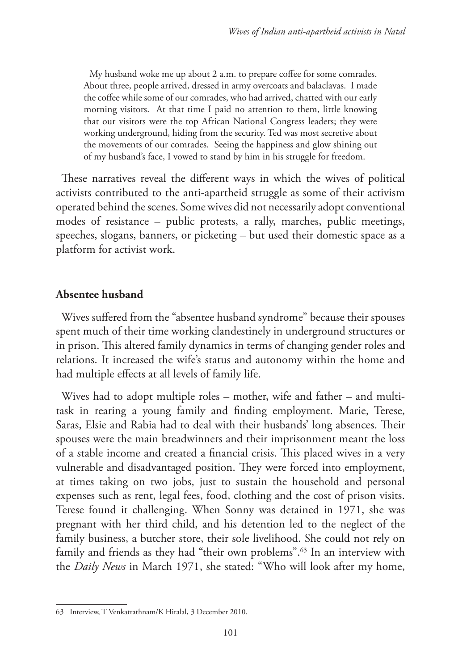My husband woke me up about 2 a.m. to prepare coffee for some comrades. About three, people arrived, dressed in army overcoats and balaclavas. I made the coffee while some of our comrades, who had arrived, chatted with our early morning visitors. At that time I paid no attention to them, little knowing that our visitors were the top African National Congress leaders; they were working underground, hiding from the security. Ted was most secretive about the movements of our comrades. Seeing the happiness and glow shining out of my husband's face, I vowed to stand by him in his struggle for freedom.

These narratives reveal the different ways in which the wives of political activists contributed to the anti-apartheid struggle as some of their activism operated behind the scenes. Some wives did not necessarily adopt conventional modes of resistance – public protests, a rally, marches, public meetings, speeches, slogans, banners, or picketing – but used their domestic space as a platform for activist work.

#### **Absentee husband**

Wives suffered from the "absentee husband syndrome" because their spouses spent much of their time working clandestinely in underground structures or in prison. This altered family dynamics in terms of changing gender roles and relations. It increased the wife's status and autonomy within the home and had multiple effects at all levels of family life.

Wives had to adopt multiple roles – mother, wife and father – and multitask in rearing a young family and finding employment. Marie, Terese, Saras, Elsie and Rabia had to deal with their husbands' long absences. Their spouses were the main breadwinners and their imprisonment meant the loss of a stable income and created a financial crisis. This placed wives in a very vulnerable and disadvantaged position. They were forced into employment, at times taking on two jobs, just to sustain the household and personal expenses such as rent, legal fees, food, clothing and the cost of prison visits. Terese found it challenging. When Sonny was detained in 1971, she was pregnant with her third child, and his detention led to the neglect of the family business, a butcher store, their sole livelihood. She could not rely on family and friends as they had "their own problems".63 In an interview with the *Daily News* in March 1971, she stated: "Who will look after my home,

<sup>63</sup> Interview, T Venkatrathnam/K Hiralal, 3 December 2010.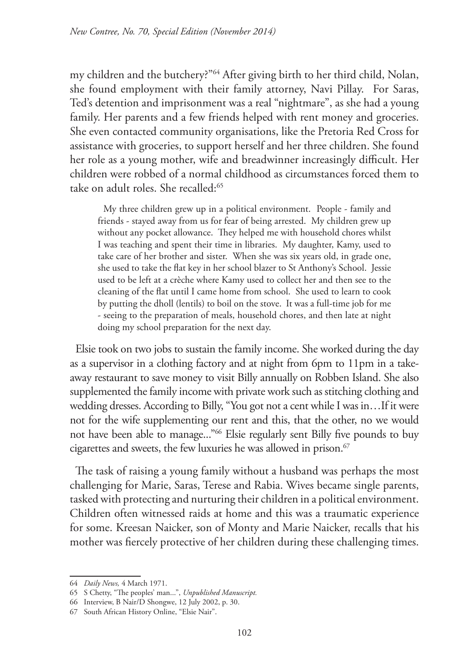my children and the butchery?"64 After giving birth to her third child, Nolan, she found employment with their family attorney, Navi Pillay. For Saras, Ted's detention and imprisonment was a real "nightmare", as she had a young family. Her parents and a few friends helped with rent money and groceries. She even contacted community organisations, like the Pretoria Red Cross for assistance with groceries, to support herself and her three children. She found her role as a young mother, wife and breadwinner increasingly difficult. Her children were robbed of a normal childhood as circumstances forced them to take on adult roles. She recalled:<sup>65</sup>

My three children grew up in a political environment. People - family and friends - stayed away from us for fear of being arrested. My children grew up without any pocket allowance. They helped me with household chores whilst I was teaching and spent their time in libraries. My daughter, Kamy, used to take care of her brother and sister. When she was six years old, in grade one, she used to take the flat key in her school blazer to St Anthony's School. Jessie used to be left at a crèche where Kamy used to collect her and then see to the cleaning of the flat until I came home from school. She used to learn to cook by putting the dholl (lentils) to boil on the stove. It was a full-time job for me - seeing to the preparation of meals, household chores, and then late at night doing my school preparation for the next day.

Elsie took on two jobs to sustain the family income. She worked during the day as a supervisor in a clothing factory and at night from 6pm to 11pm in a takeaway restaurant to save money to visit Billy annually on Robben Island. She also supplemented the family income with private work such as stitching clothing and wedding dresses. According to Billy, "You got not a cent while I was in…If it were not for the wife supplementing our rent and this, that the other, no we would not have been able to manage..."66 Elsie regularly sent Billy five pounds to buy cigarettes and sweets, the few luxuries he was allowed in prison.<sup>67</sup>

The task of raising a young family without a husband was perhaps the most challenging for Marie, Saras, Terese and Rabia. Wives became single parents, tasked with protecting and nurturing their children in a political environment. Children often witnessed raids at home and this was a traumatic experience for some. Kreesan Naicker, son of Monty and Marie Naicker, recalls that his mother was fiercely protective of her children during these challenging times.

<sup>64</sup> *Daily News,* 4 March 1971.

<sup>65</sup> S Chetty, "The peoples' man...", *Unpublished Manuscript.*

<sup>66</sup> Interview, B Nair/D Shongwe, 12 July 2002, p. 30.

<sup>67</sup> South African History Online, "Elsie Nair".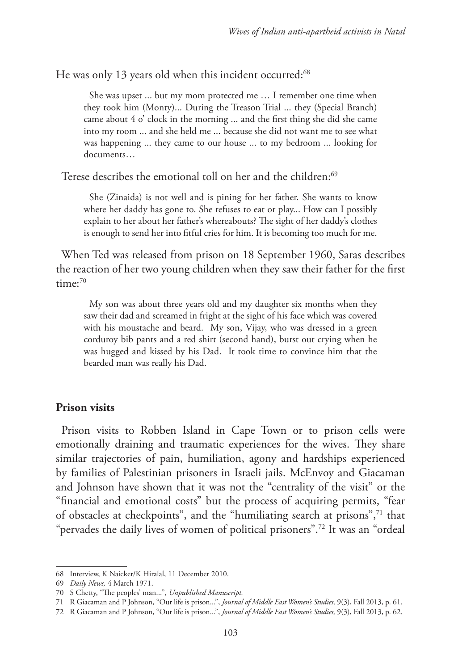He was only 13 years old when this incident occurred:<sup>68</sup>

She was upset ... but my mom protected me … I remember one time when they took him (Monty)... During the Treason Trial ... they (Special Branch) came about 4 o' clock in the morning ... and the first thing she did she came into my room ... and she held me ... because she did not want me to see what was happening ... they came to our house ... to my bedroom ... looking for documents…

Terese describes the emotional toll on her and the children:<sup>69</sup>

She (Zinaida) is not well and is pining for her father. She wants to know where her daddy has gone to. She refuses to eat or play... How can I possibly explain to her about her father's whereabouts? The sight of her daddy's clothes is enough to send her into fitful cries for him. It is becoming too much for me.

When Ted was released from prison on 18 September 1960, Saras describes the reaction of her two young children when they saw their father for the first  $time:70$ 

My son was about three years old and my daughter six months when they saw their dad and screamed in fright at the sight of his face which was covered with his moustache and beard. My son, Vijay, who was dressed in a green corduroy bib pants and a red shirt (second hand), burst out crying when he was hugged and kissed by his Dad. It took time to convince him that the bearded man was really his Dad.

#### **Prison visits**

Prison visits to Robben Island in Cape Town or to prison cells were emotionally draining and traumatic experiences for the wives. They share similar trajectories of pain, humiliation, agony and hardships experienced by families of Palestinian prisoners in Israeli jails. McEnvoy and Giacaman and Johnson have shown that it was not the "centrality of the visit" or the "financial and emotional costs" but the process of acquiring permits, "fear of obstacles at checkpoints", and the "humiliating search at prisons",71 that "pervades the daily lives of women of political prisoners".72 It was an "ordeal

<sup>68</sup> Interview, K Naicker/K Hiralal, 11 December 2010.

<sup>69</sup> *Daily News,* 4 March 1971.

<sup>70</sup> S Chetty, "The peoples' man...", *Unpublished Manuscript.*

<sup>71</sup> R Giacaman and P Johnson, "Our life is prison...", *Journal of Middle East Women's Studies,* 9(3), Fall 2013, p. 61.

<sup>72</sup> R Giacaman and P Johnson, "Our life is prison...", *Journal of Middle East Women's Studies,* 9(3), Fall 2013, p. 62.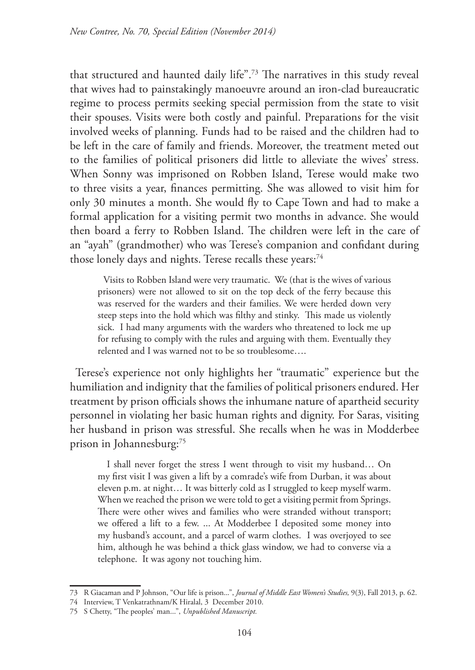that structured and haunted daily life".73 The narratives in this study reveal that wives had to painstakingly manoeuvre around an iron-clad bureaucratic regime to process permits seeking special permission from the state to visit their spouses. Visits were both costly and painful. Preparations for the visit involved weeks of planning. Funds had to be raised and the children had to be left in the care of family and friends. Moreover, the treatment meted out to the families of political prisoners did little to alleviate the wives' stress. When Sonny was imprisoned on Robben Island, Terese would make two to three visits a year, finances permitting. She was allowed to visit him for only 30 minutes a month. She would fly to Cape Town and had to make a formal application for a visiting permit two months in advance. She would then board a ferry to Robben Island. The children were left in the care of an "ayah" (grandmother) who was Terese's companion and confidant during those lonely days and nights. Terese recalls these years:<sup>74</sup>

Visits to Robben Island were very traumatic. We (that is the wives of various prisoners) were not allowed to sit on the top deck of the ferry because this was reserved for the warders and their families. We were herded down very steep steps into the hold which was filthy and stinky. This made us violently sick. I had many arguments with the warders who threatened to lock me up for refusing to comply with the rules and arguing with them. Eventually they relented and I was warned not to be so troublesome….

Terese's experience not only highlights her "traumatic" experience but the humiliation and indignity that the families of political prisoners endured. Her treatment by prison officials shows the inhumane nature of apartheid security personnel in violating her basic human rights and dignity. For Saras, visiting her husband in prison was stressful. She recalls when he was in Modderbee prison in Johannesburg:75

 I shall never forget the stress I went through to visit my husband… On my first visit I was given a lift by a comrade's wife from Durban, it was about eleven p.m. at night… It was bitterly cold as I struggled to keep myself warm. When we reached the prison we were told to get a visiting permit from Springs. There were other wives and families who were stranded without transport; we offered a lift to a few. ... At Modderbee I deposited some money into my husband's account, and a parcel of warm clothes. I was overjoyed to see him, although he was behind a thick glass window, we had to converse via a telephone. It was agony not touching him.

<sup>73</sup> R Giacaman and P Johnson, "Our life is prison...", *Journal of Middle East Women's Studies,* 9(3), Fall 2013, p. 62.

<sup>74</sup> Interview, T Venkatrathnam/K Hiralal, 3 December 2010.

<sup>75</sup> S Chetty, "The peoples' man...", *Unpublished Manuscript.*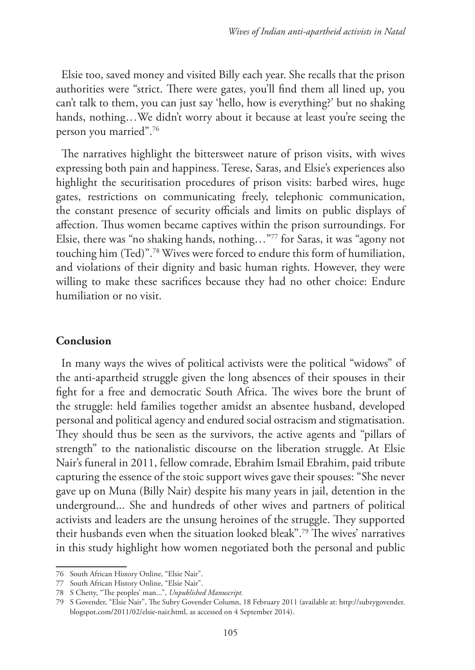Elsie too, saved money and visited Billy each year. She recalls that the prison authorities were "strict. There were gates, you'll find them all lined up, you can't talk to them, you can just say 'hello, how is everything?' but no shaking hands, nothing...We didn't worry about it because at least you're seeing the person you married".76

The narratives highlight the bittersweet nature of prison visits, with wives expressing both pain and happiness. Terese, Saras, and Elsie's experiences also highlight the securitisation procedures of prison visits: barbed wires, huge gates, restrictions on communicating freely, telephonic communication, the constant presence of security officials and limits on public displays of affection. Thus women became captives within the prison surroundings. For Elsie, there was "no shaking hands, nothing…"77 for Saras, it was "agony not touching him (Ted)".78 Wives were forced to endure this form of humiliation, and violations of their dignity and basic human rights. However, they were willing to make these sacrifices because they had no other choice: Endure humiliation or no visit.

# **Conclusion**

In many ways the wives of political activists were the political "widows" of the anti-apartheid struggle given the long absences of their spouses in their fight for a free and democratic South Africa. The wives bore the brunt of the struggle: held families together amidst an absentee husband, developed personal and political agency and endured social ostracism and stigmatisation. They should thus be seen as the survivors, the active agents and "pillars of strength" to the nationalistic discourse on the liberation struggle. At Elsie Nair's funeral in 2011, fellow comrade, Ebrahim Ismail Ebrahim, paid tribute capturing the essence of the stoic support wives gave their spouses: "She never gave up on Muna (Billy Nair) despite his many years in jail, detention in the underground... She and hundreds of other wives and partners of political activists and leaders are the unsung heroines of the struggle. They supported their husbands even when the situation looked bleak".79 The wives' narratives in this study highlight how women negotiated both the personal and public

<sup>76</sup> South African History Online, "Elsie Nair".

<sup>77</sup> South African History Online, "Elsie Nair".

<sup>78</sup> S Chetty, "The peoples' man...", *Unpublished Manuscript.*

<sup>79</sup> S Govender, "Elsie Nair", The Subry Govender Column, 18 February 2011 (available at: http://subrygovender. blogspot.com/2011/02/elsie-nair.html, as accessed on 4 September 2014).